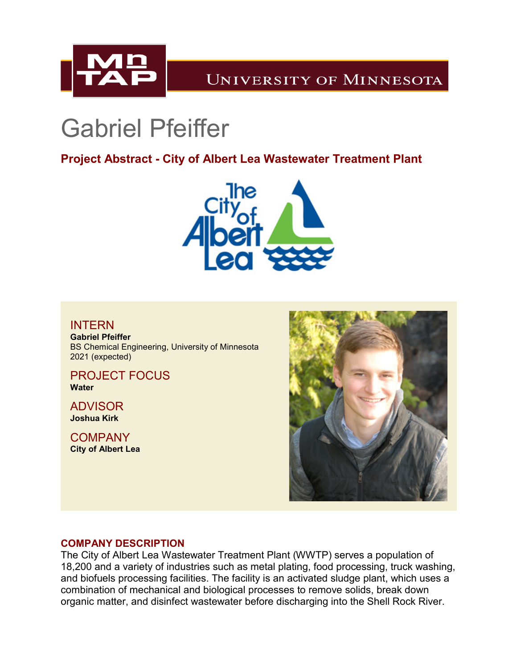

# **UNIVERSITY OF MINNESOTA**

# Gabriel Pfeiffer

**Project Abstract - City of Albert Lea Wastewater Treatment Plant**



## **INTERN**

**Gabriel Pfeiffer** BS Chemical Engineering, University of Minnesota 2021 (expected)

PROJECT FOCUS **Water**

ADVISOR **Joshua Kirk**

**COMPANY City of Albert Lea**



### **COMPANY DESCRIPTION**

The City of Albert Lea Wastewater Treatment Plant (WWTP) serves a population of 18,200 and a variety of industries such as metal plating, food processing, truck washing, and biofuels processing facilities. The facility is an activated sludge plant, which uses a combination of mechanical and biological processes to remove solids, break down organic matter, and disinfect wastewater before discharging into the Shell Rock River.